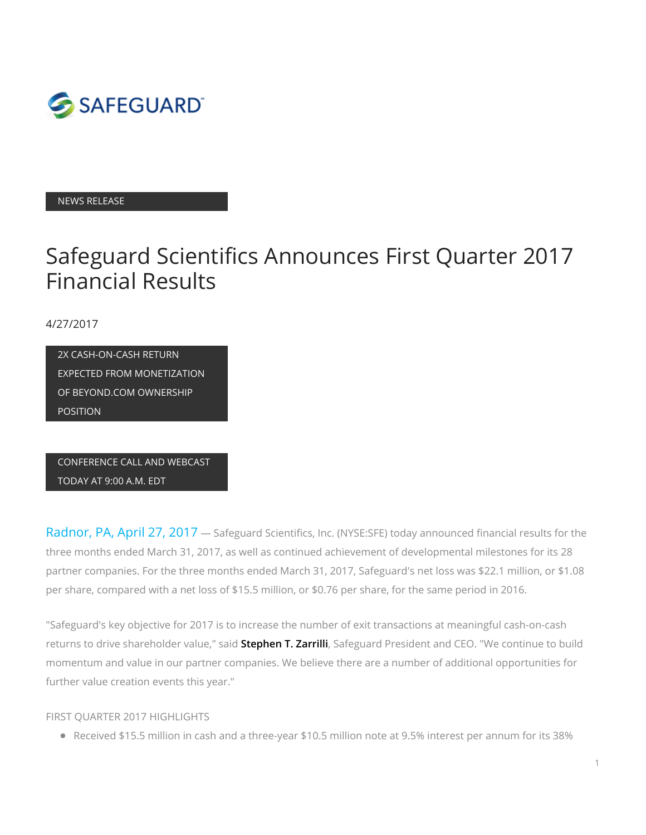

#### NEWS RELEASE

# Safeguard Scientifics Announces First Quarter 2017 Financial Results

4/27/2017

2X CASH-ON-CASH RETURN EXPECTED FROM MONETIZATION OF BEYOND.COM OWNERSHIP **POSITION** 

CONFERENCE CALL AND WEBCAST TODAY AT 9:00 A.M. EDT

Radnor, PA, April 27, 2017 - Safeguard Scientifics, Inc. (NYSE:SFE) today announced financial results for the three months ended March 31, 2017, as well as continued achievement of developmental milestones for its 28 partner companies. For the three months ended March 31, 2017, Safeguard's net loss was \$22.1 million, or \$1.08 per share, compared with a net loss of \$15.5 million, or \$0.76 per share, for the same period in 2016.

"Safeguard's key objective for 2017 is to increase the number of exit transactions at meaningful cash-on-cash returns to drive shareholder value," said [Stephen T. Zarrilli](http://www.safeguard.com/team/stephen-t-zarrilli/), Safeguard President and CEO. "We continue to build momentum and value in our partner companies. We believe there are a number of additional opportunities for further value creation events this year."

#### FIRST QUARTER 2017 HIGHLIGHTS

Received \$15.5 million in cash and a three-year \$10.5 million note at 9.5% interest per annum for its 38%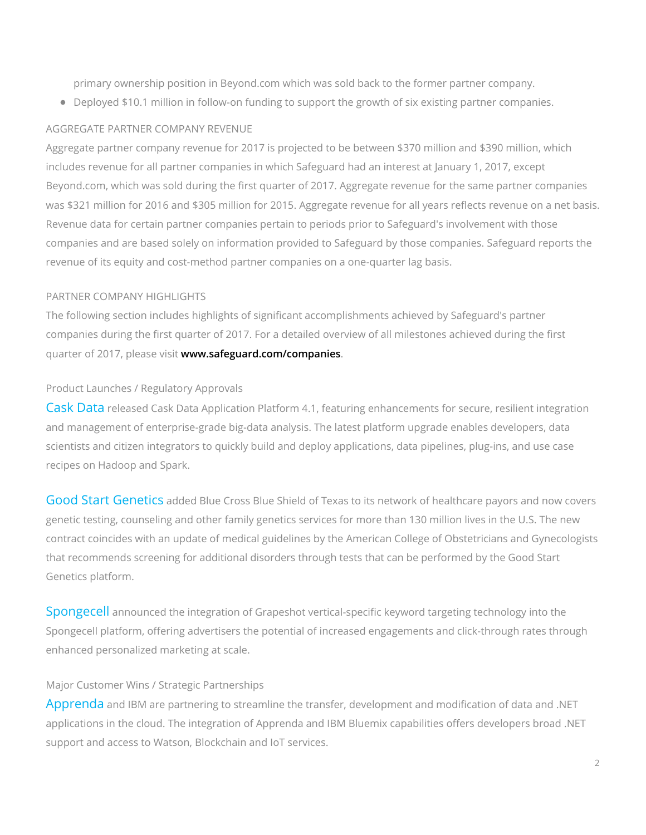primary ownership position in Beyond.com which was sold back to the former partner company.

Deployed \$10.1 million in follow-on funding to support the growth of six existing partner companies.

#### AGGREGATE PARTNER COMPANY REVENUE

Aggregate partner company revenue for 2017 is projected to be between \$370 million and \$390 million, which includes revenue for all partner companies in which Safeguard had an interest at January 1, 2017, except Beyond.com, which was sold during the first quarter of 2017. Aggregate revenue for the same partner companies was \$321 million for 2016 and \$305 million for 2015. Aggregate revenue for all years reflects revenue on a net basis. Revenue data for certain partner companies pertain to periods prior to Safeguard's involvement with those companies and are based solely on information provided to Safeguard by those companies. Safeguard reports the revenue of its equity and cost-method partner companies on a one-quarter lag basis.

#### PARTNER COMPANY HIGHLIGHTS

The following section includes highlights of significant accomplishments achieved by Safeguard's partner companies during the first quarter of 2017. For a detailed overview of all milestones achieved during the first quarter of 2017, please visit [www.safeguard.com/companies](http://www.safeguard.com/companies).

### Product Launches / Regulatory Approvals

Cask Data released Cask Data Application Platform 4.1, featuring enhancements for secure, resilient integration and management of enterprise-grade big-data analysis. The latest platform upgrade enables developers, data scientists and citizen integrators to quickly build and deploy applications, data pipelines, plug-ins, and use case recipes on Hadoop and Spark.

Good Start Genetics added Blue Cross Blue Shield of Texas to its network of healthcare payors and now covers genetic testing, counseling and other family genetics services for more than 130 million lives in the U.S. The new contract coincides with an update of medical guidelines by the American College of Obstetricians and Gynecologists that recommends screening for additional disorders through tests that can be performed by the Good Start Genetics platform.

Spongecell announced the integration of Grapeshot vertical-specific keyword targeting technology into the Spongecell platform, offering advertisers the potential of increased engagements and click-through rates through enhanced personalized marketing at scale.

#### Major Customer Wins / Strategic Partnerships

Apprenda and IBM are partnering to streamline the transfer, development and modification of data and .NET applications in the cloud. The integration of Apprenda and IBM Bluemix capabilities offers developers broad .NET support and access to Watson, Blockchain and IoT services.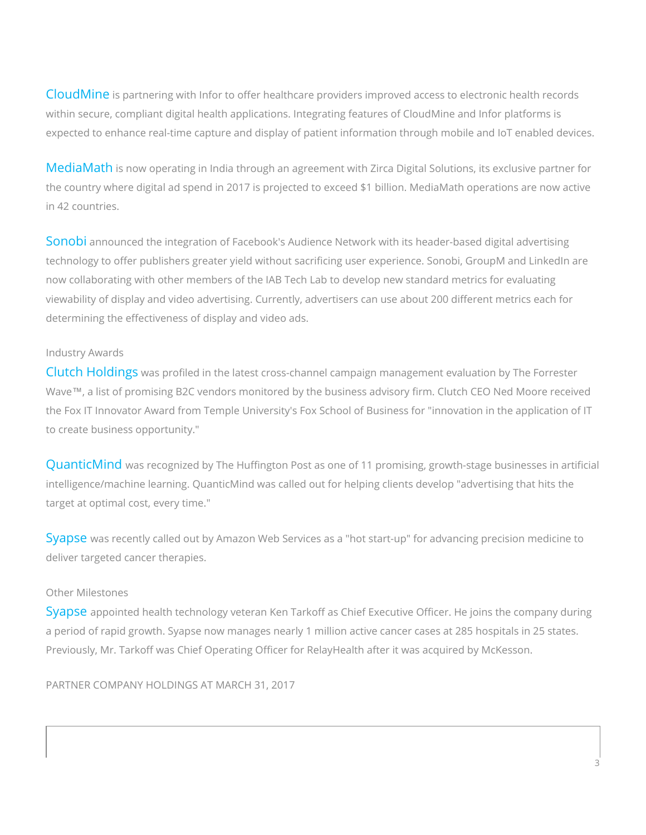CloudMine is partnering with Infor to offer healthcare providers improved access to electronic health records within secure, compliant digital health applications. Integrating features of CloudMine and Infor platforms is expected to enhance real-time capture and display of patient information through mobile and IoT enabled devices.

MediaMath is now operating in India through an agreement with Zirca Digital Solutions, its exclusive partner for the country where digital ad spend in 2017 is projected to exceed \$1 billion. MediaMath operations are now active in 42 countries.

Sonobi announced the integration of Facebook's Audience Network with its header-based digital advertising technology to offer publishers greater yield without sacrificing user experience. Sonobi, GroupM and LinkedIn are now collaborating with other members of the IAB Tech Lab to develop new standard metrics for evaluating viewability of display and video advertising. Currently, advertisers can use about 200 different metrics each for determining the effectiveness of display and video ads.

#### Industry Awards

Clutch Holdings was profiled in the latest cross-channel campaign management evaluation by The Forrester Wave™, a list of promising B2C vendors monitored by the business advisory firm. Clutch CEO Ned Moore received the Fox IT Innovator Award from Temple University's Fox School of Business for "innovation in the application of IT to create business opportunity."

QuanticMind was recognized by The Huffington Post as one of 11 promising, growth-stage businesses in artificial intelligence/machine learning. QuanticMind was called out for helping clients develop "advertising that hits the target at optimal cost, every time."

Syapse was recently called out by Amazon Web Services as a "hot start-up" for advancing precision medicine to deliver targeted cancer therapies.

#### Other Milestones

Syapse appointed health technology veteran Ken Tarkoff as Chief Executive Officer. He joins the company during a period of rapid growth. Syapse now manages nearly 1 million active cancer cases at 285 hospitals in 25 states. Previously, Mr. Tarkoff was Chief Operating Officer for RelayHealth after it was acquired by McKesson.

PARTNER COMPANY HOLDINGS AT MARCH 31, 2017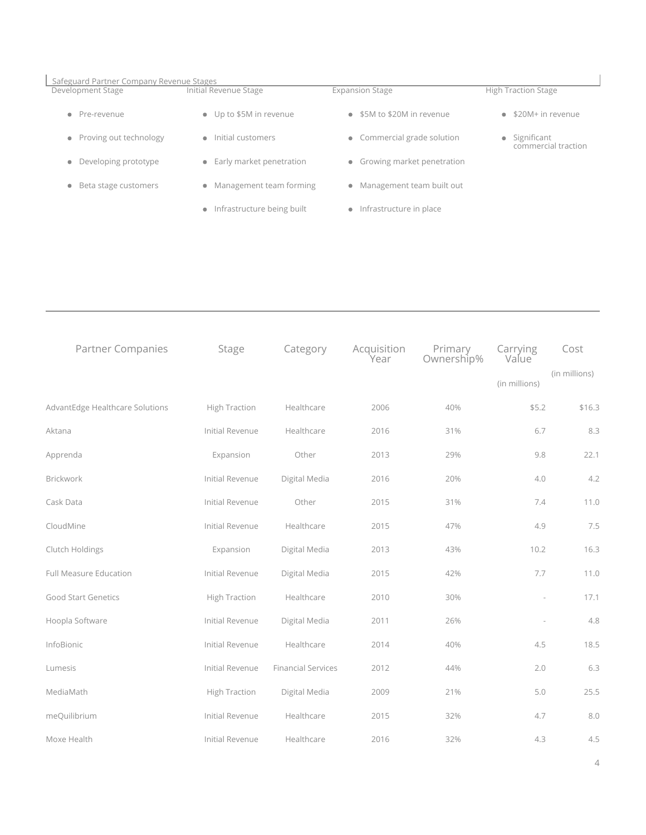| Safeguard Partner Company Revenue Stages |                              |                              |                                              |
|------------------------------------------|------------------------------|------------------------------|----------------------------------------------|
| Development Stage                        | Initial Revenue Stage        | <b>Expansion Stage</b>       | <b>High Traction Stage</b>                   |
| • Pre-revenue                            | • Up to \$5M in revenue      | • \$5M to \$20M in revenue   | $\bullet$ \$20M+ in revenue                  |
| • Proving out technology                 | • Initial customers          | • Commercial grade solution  | $\bullet$ Significant<br>commercial traction |
| • Developing prototype                   | • Early market penetration   | • Growing market penetration |                                              |
| • Beta stage customers                   | • Management team forming    | • Management team built out  |                                              |
|                                          | • Infrastructure being built | • Infrastructure in place    |                                              |

| Partner Companies               | Stage                | Category                  | Acquisition<br>'Year | Primary<br>Ownership% | Carrying<br>Value        | Cost          |
|---------------------------------|----------------------|---------------------------|----------------------|-----------------------|--------------------------|---------------|
|                                 |                      |                           |                      |                       | (in millions)            | (in millions) |
| AdvantEdge Healthcare Solutions | <b>High Traction</b> | Healthcare                | 2006                 | 40%                   | \$5.2                    | \$16.3        |
| Aktana                          | Initial Revenue      | Healthcare                | 2016                 | 31%                   | 6.7                      | 8.3           |
| Apprenda                        | Expansion            | Other                     | 2013                 | 29%                   | 9.8                      | 22.1          |
| Brickwork                       | Initial Revenue      | Digital Media             | 2016                 | 20%                   | 4.0                      | 4.2           |
| Cask Data                       | Initial Revenue      | Other                     | 2015                 | 31%                   | 7.4                      | 11.0          |
| CloudMine                       | Initial Revenue      | Healthcare                | 2015                 | 47%                   | 4.9                      | 7.5           |
| Clutch Holdings                 | Expansion            | Digital Media             | 2013                 | 43%                   | 10.2                     | 16.3          |
| Full Measure Education          | Initial Revenue      | Digital Media             | 2015                 | 42%                   | 7.7                      | 11.0          |
| Good Start Genetics             | <b>High Traction</b> | Healthcare                | 2010                 | 30%                   | $\overline{\phantom{a}}$ | 17.1          |
| Hoopla Software                 | Initial Revenue      | Digital Media             | 2011                 | 26%                   | $\overline{\phantom{a}}$ | 4.8           |
| InfoBionic                      | Initial Revenue      | Healthcare                | 2014                 | 40%                   | 4.5                      | 18.5          |
| Lumesis                         | Initial Revenue      | <b>Financial Services</b> | 2012                 | 44%                   | 2.0                      | 6.3           |
| MediaMath                       | <b>High Traction</b> | Digital Media             | 2009                 | 21%                   | 5.0                      | 25.5          |
| meQuilibrium                    | Initial Revenue      | Healthcare                | 2015                 | 32%                   | 4.7                      | $8.0\,$       |
| Moxe Health                     | Initial Revenue      | Healthcare                | 2016                 | 32%                   | 4.3                      | 4.5           |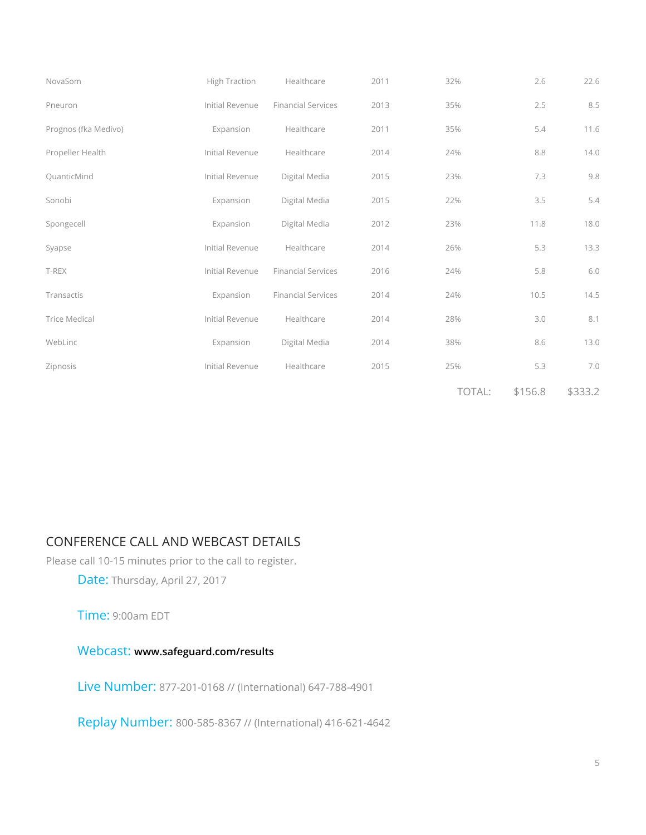| NovaSom              | <b>High Traction</b> | Healthcare                | 2011 | 32%    | 2.6     | 22.6    |  |
|----------------------|----------------------|---------------------------|------|--------|---------|---------|--|
| Pneuron              | Initial Revenue      | <b>Financial Services</b> | 2013 | 35%    | 2.5     | 8.5     |  |
| Prognos (fka Medivo) | Expansion            | Healthcare                | 2011 | 35%    | 5.4     | 11.6    |  |
| Propeller Health     | Initial Revenue      | Healthcare                | 2014 | 24%    | 8.8     | 14.0    |  |
| QuanticMind          | Initial Revenue      | Digital Media             | 2015 | 23%    | 7.3     | $9.8\,$ |  |
| Sonobi               | Expansion            | Digital Media             | 2015 | 22%    | 3.5     | 5.4     |  |
| Spongecell           | Expansion            | Digital Media             | 2012 | 23%    | 11.8    | 18.0    |  |
| Syapse               | Initial Revenue      | Healthcare                | 2014 | 26%    | 5.3     | 13.3    |  |
| T-REX                | Initial Revenue      | <b>Financial Services</b> | 2016 | 24%    | 5.8     | $6.0\,$ |  |
| Transactis           | Expansion            | <b>Financial Services</b> | 2014 | 24%    | 10.5    | 14.5    |  |
| Trice Medical        | Initial Revenue      | Healthcare                | 2014 | 28%    | 3.0     | 8.1     |  |
| WebLinc              | Expansion            | Digital Media             | 2014 | 38%    | 8.6     | 13.0    |  |
| Zipnosis             | Initial Revenue      | Healthcare                | 2015 | 25%    | 5.3     | 7.0     |  |
|                      |                      |                           |      | TOTAL: | \$156.8 | \$333.2 |  |

# CONFERENCE CALL AND WEBCAST DETAILS

Please call 10-15 minutes prior to the call to register.

Date: Thursday, April 27, 2017

Time: 9:00am EDT

Webcast: [www.safeguard.com/results](http://www.safeguard.com/results)

Live Number: 877-201-0168 // (International) 647-788-4901

Replay Number: 800-585-8367 // (International) 416-621-4642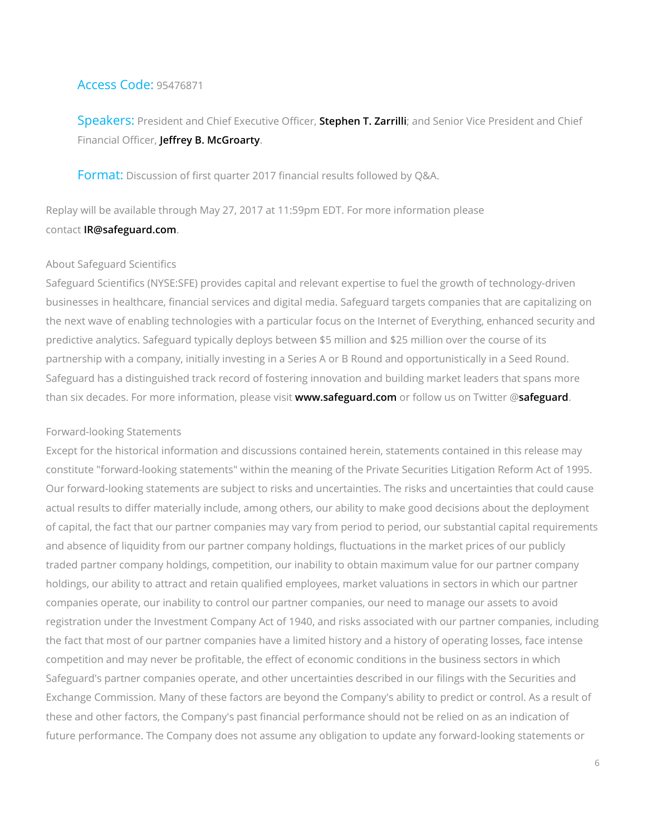### Access Code: 95476871

Speakers: President and Chief Executive Officer, [Stephen T. Zarrilli](http://www.safeguard.com/team/stephen-t-zarrilli/); and Senior Vice President and Chief Financial Officer, [Jeffrey B. McGroarty](http://www.safeguard.com/team/jeffrey-b-mcgroarty/).

Format: Discussion of first quarter 2017 financial results followed by Q&A.

Replay will be available through May 27, 2017 at 11:59pm EDT. For more information please contact **IR@safeguard[.](mailto:IR@safeguard.com)com**.<br>About Safeguard Scientifics<br>About Safeguard Scientifics

Safeguard Scientifics (NYSE:SFE) provides capital and relevant expertise to fuel the growth of technology-driven businesses in healthcare, financial services and digital media. Safeguard targets companies that are capitalizing on the next wave of enabling technologies with a particular focus on the Internet of Everything, enhanced security and predictive analytics. Safeguard typically deploys between \$5 million and \$25 million over the course of its partnership with a company, initially investing in a Series A or B Round and opportunistically in a Seed Round. Safeguard has a distinguished track record of fostering innovation and building market leaders that spans more than six decades. For more information, please visit [www.safeguard.com](http://www.safeguard.com/) or follow us on Twitter @[safeguard](https://twitter.com/safeguard).

#### Forward-looking Statements

Except for the historical information and discussions contained herein, statements contained in this release may constitute "forward-looking statements" within the meaning of the Private Securities Litigation Reform Act of 1995. Our forward-looking statements are subject to risks and uncertainties. The risks and uncertainties that could cause actual results to differ materially include, among others, our ability to make good decisions about the deployment of capital, the fact that our partner companies may vary from period to period, our substantial capital requirements and absence of liquidity from our partner company holdings, fluctuations in the market prices of our publicly traded partner company holdings, competition, our inability to obtain maximum value for our partner company holdings, our ability to attract and retain qualified employees, market valuations in sectors in which our partner companies operate, our inability to control our partner companies, our need to manage our assets to avoid registration under the Investment Company Act of 1940, and risks associated with our partner companies, including the fact that most of our partner companies have a limited history and a history of operating losses, face intense competition and may never be profitable, the effect of economic conditions in the business sectors in which Safeguard's partner companies operate, and other uncertainties described in our filings with the Securities and Exchange Commission. Many of these factors are beyond the Company's ability to predict or control. As a result of these and other factors, the Company's past financial performance should not be relied on as an indication of future performance. The Company does not assume any obligation to update any forward-looking statements or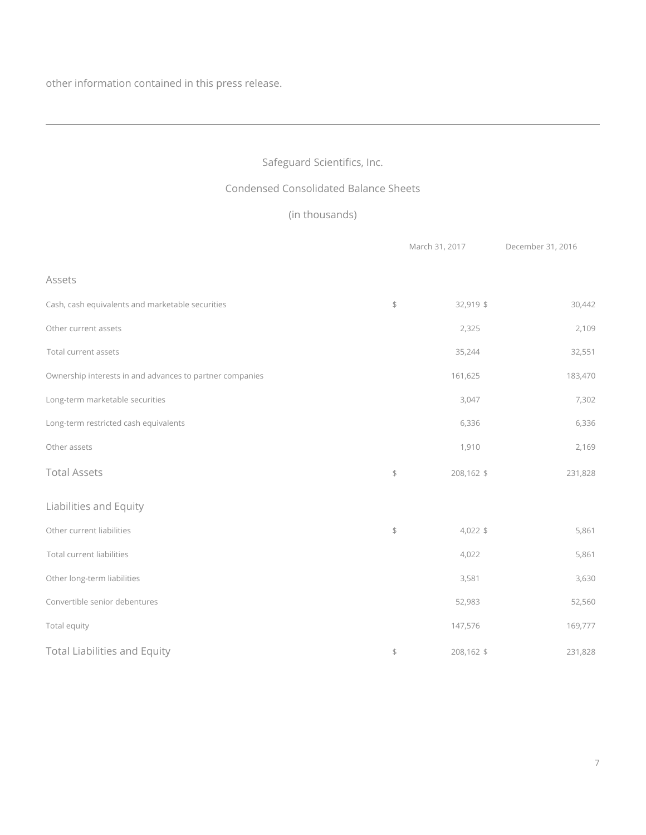# Safeguard Scientifics, Inc.

# Condensed Consolidated Balance Sheets

## (in thousands)

|                                                          |                | March 31, 2017 | December 31, 2016 |  |
|----------------------------------------------------------|----------------|----------------|-------------------|--|
| Assets                                                   |                |                |                   |  |
| Cash, cash equivalents and marketable securities         | $\frac{1}{2}$  | 32,919 \$      | 30,442            |  |
| Other current assets                                     |                | 2,325          | 2,109             |  |
| Total current assets                                     |                | 35,244         | 32,551            |  |
| Ownership interests in and advances to partner companies |                | 161,625        | 183,470           |  |
| Long-term marketable securities                          |                | 3,047          | 7,302             |  |
| Long-term restricted cash equivalents                    |                | 6,336          | 6,336             |  |
| Other assets                                             |                | 1,910          | 2,169             |  |
| <b>Total Assets</b>                                      | $\updownarrow$ | 208,162 \$     | 231,828           |  |
| Liabilities and Equity                                   |                |                |                   |  |
| Other current liabilities                                | $\frac{1}{2}$  | $4,022$ \$     | 5,861             |  |
| Total current liabilities                                |                | 4,022          | 5,861             |  |
| Other long-term liabilities                              |                | 3,581          | 3,630             |  |
| Convertible senior debentures                            |                | 52,983         | 52,560            |  |
| Total equity                                             |                | 147,576        | 169,777           |  |
| <b>Total Liabilities and Equity</b>                      | $\frac{1}{2}$  | 208,162 \$     | 231,828           |  |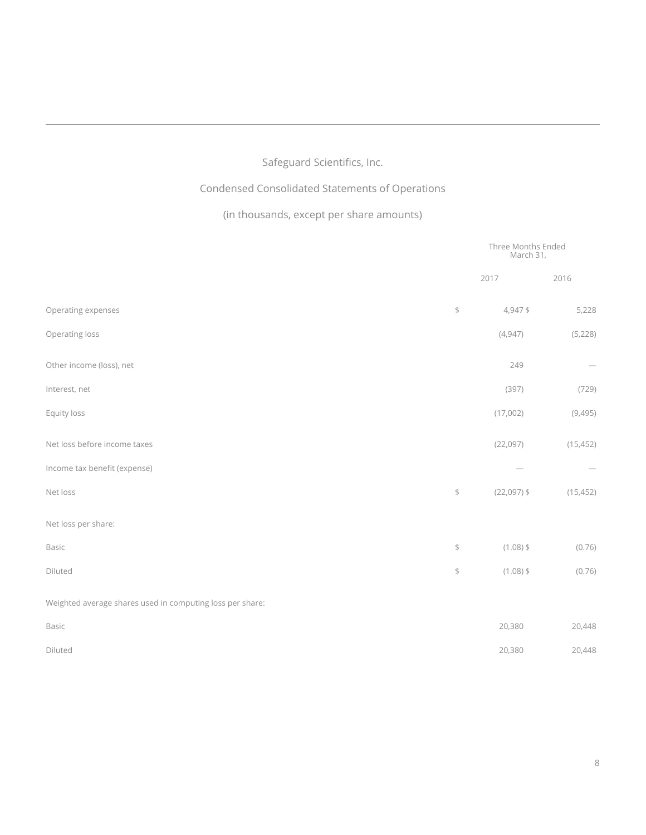# Safeguard Scientifics, Inc.

# Condensed Consolidated Statements of Operations

# (in thousands, except per share amounts)

|                                                           |               | Three Months Ended<br>March 31, |                                 |
|-----------------------------------------------------------|---------------|---------------------------------|---------------------------------|
|                                                           |               | 2017                            | 2016                            |
| Operating expenses                                        | $\frac{1}{2}$ | 4,947\$                         | 5,228                           |
| Operating loss                                            |               | (4,947)                         | (5,228)                         |
| Other income (loss), net                                  |               | 249                             | $\hspace{0.1mm}-\hspace{0.1mm}$ |
| Interest, net                                             |               | (397)                           | (729)                           |
| Equity loss                                               |               | (17,002)                        | (9,495)                         |
| Net loss before income taxes                              |               | (22,097)                        | (15, 452)                       |
| Income tax benefit (expense)                              |               | $\hspace{0.1mm}-\hspace{0.1mm}$ |                                 |
| Net loss                                                  | $\frac{1}{2}$ | $(22,097)$ \$                   | (15, 452)                       |
| Net loss per share:                                       |               |                                 |                                 |
| Basic                                                     | $\,$          | $(1.08)$ \$                     | (0.76)                          |
| Diluted                                                   | $\,$          | $(1.08)$ \$                     | (0.76)                          |
| Weighted average shares used in computing loss per share: |               |                                 |                                 |
| Basic                                                     |               | 20,380                          | 20,448                          |
| Diluted                                                   |               | 20,380                          | 20,448                          |